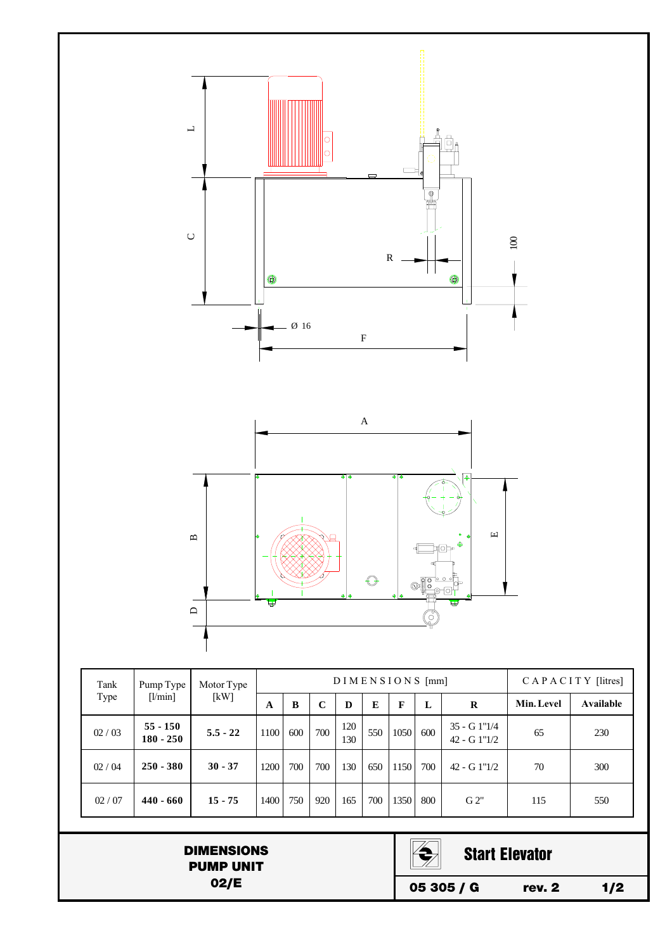

DIMENSIONS PUMP UNIT 02/E



Start Elevator

05 305 / G rev. 2 1/2